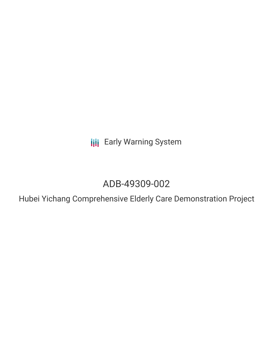**III** Early Warning System

# ADB-49309-002

Hubei Yichang Comprehensive Elderly Care Demonstration Project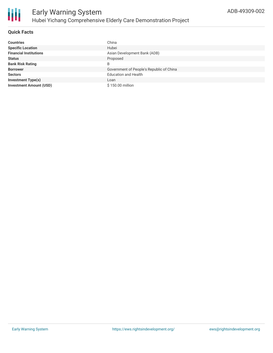### **Quick Facts**

| <b>Countries</b>               | China                                    |
|--------------------------------|------------------------------------------|
| <b>Specific Location</b>       | Hubei                                    |
| <b>Financial Institutions</b>  | Asian Development Bank (ADB)             |
| <b>Status</b>                  | Proposed                                 |
| <b>Bank Risk Rating</b>        | B                                        |
| <b>Borrower</b>                | Government of People's Republic of China |
| <b>Sectors</b>                 | <b>Education and Health</b>              |
| <b>Investment Type(s)</b>      | Loan                                     |
| <b>Investment Amount (USD)</b> | \$150,00 million                         |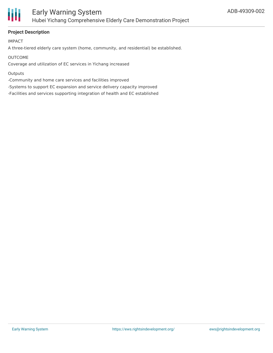

## **Project Description**

IMPACT

A three-tiered elderly care system (home, community, and residential) be established.

OUTCOME

Coverage and utilization of EC services in Yichang increased

#### **Outputs**

-Community and home care services and facilities improved

-Systems to support EC expansion and service delivery capacity improved

-Facilities and services supporting integration of health and EC established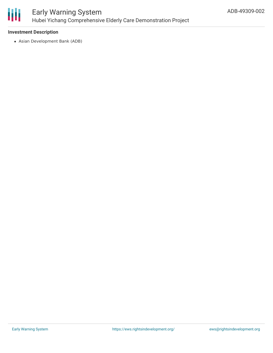

# Early Warning System Hubei Yichang Comprehensive Elderly Care Demonstration Project

#### **Investment Description**

Asian Development Bank (ADB)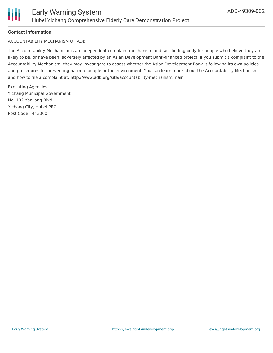### **Contact Information**

#### ACCOUNTABILITY MECHANISM OF ADB

The Accountability Mechanism is an independent complaint mechanism and fact-finding body for people who believe they are likely to be, or have been, adversely affected by an Asian Development Bank-financed project. If you submit a complaint to the Accountability Mechanism, they may investigate to assess whether the Asian Development Bank is following its own policies and procedures for preventing harm to people or the environment. You can learn more about the Accountability Mechanism and how to file a complaint at: http://www.adb.org/site/accountability-mechanism/main

Executing Agencies Yichang Municipal Government No. 102 Yanjiang Blvd. Yichang City, Hubei PRC Post Code : 443000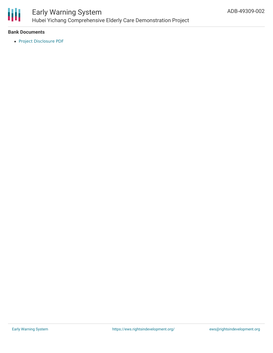

# Early Warning System Hubei Yichang Comprehensive Elderly Care Demonstration Project

#### **Bank Documents**

Project [Disclosure](https://www.adb.org/printpdf/projects/49309-002/main) PDF